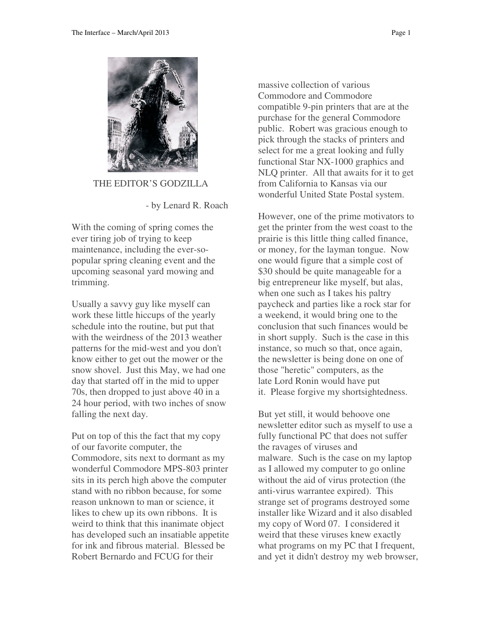

THE EDITOR'S GODZILLA

- by Lenard R. Roach

With the coming of spring comes the ever tiring job of trying to keep maintenance, including the ever-sopopular spring cleaning event and the upcoming seasonal yard mowing and trimming.

Usually a savvy guy like myself can work these little hiccups of the yearly schedule into the routine, but put that with the weirdness of the 2013 weather patterns for the mid-west and you don't know either to get out the mower or the snow shovel. Just this May, we had one day that started off in the mid to upper 70s, then dropped to just above 40 in a 24 hour period, with two inches of snow falling the next day.

Put on top of this the fact that my copy of our favorite computer, the Commodore, sits next to dormant as my wonderful Commodore MPS-803 printer sits in its perch high above the computer stand with no ribbon because, for some reason unknown to man or science, it likes to chew up its own ribbons. It is weird to think that this inanimate object has developed such an insatiable appetite for ink and fibrous material. Blessed be Robert Bernardo and FCUG for their

massive collection of various Commodore and Commodore compatible 9-pin printers that are at the purchase for the general Commodore public. Robert was gracious enough to pick through the stacks of printers and select for me a great looking and fully functional Star NX-1000 graphics and NLQ printer. All that awaits for it to get from California to Kansas via our wonderful United State Postal system.

However, one of the prime motivators to get the printer from the west coast to the prairie is this little thing called finance, or money, for the layman tongue. Now one would figure that a simple cost of \$30 should be quite manageable for a big entrepreneur like myself, but alas, when one such as I takes his paltry paycheck and parties like a rock star for a weekend, it would bring one to the conclusion that such finances would be in short supply. Such is the case in this instance, so much so that, once again, the newsletter is being done on one of those "heretic" computers, as the late Lord Ronin would have put it. Please forgive my shortsightedness.

But yet still, it would behoove one newsletter editor such as myself to use a fully functional PC that does not suffer the ravages of viruses and malware. Such is the case on my laptop as I allowed my computer to go online without the aid of virus protection (the anti-virus warrantee expired). This strange set of programs destroyed some installer like Wizard and it also disabled my copy of Word 07. I considered it weird that these viruses knew exactly what programs on my PC that I frequent, and yet it didn't destroy my web browser,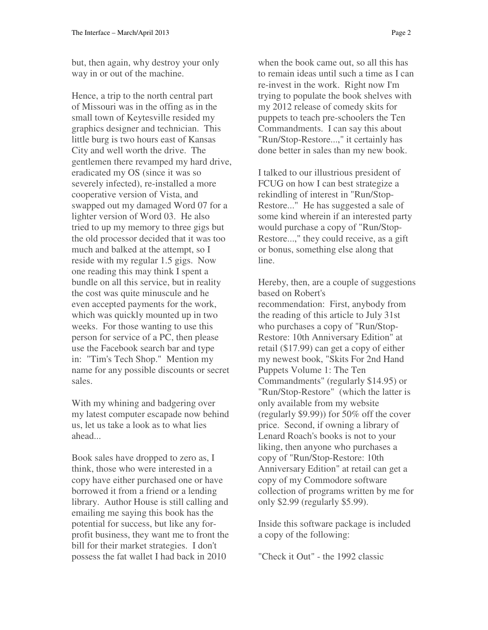but, then again, why destroy your only way in or out of the machine.

Hence, a trip to the north central part of Missouri was in the offing as in the small town of Keytesville resided my graphics designer and technician. This little burg is two hours east of Kansas City and well worth the drive. The gentlemen there revamped my hard drive, eradicated my OS (since it was so severely infected), re-installed a more cooperative version of Vista, and swapped out my damaged Word 07 for a lighter version of Word 03. He also tried to up my memory to three gigs but the old processor decided that it was too much and balked at the attempt, so I reside with my regular 1.5 gigs. Now one reading this may think I spent a bundle on all this service, but in reality the cost was quite minuscule and he even accepted payments for the work, which was quickly mounted up in two weeks. For those wanting to use this person for service of a PC, then please use the Facebook search bar and type in: "Tim's Tech Shop." Mention my name for any possible discounts or secret sales.

With my whining and badgering over my latest computer escapade now behind us, let us take a look as to what lies ahead...

Book sales have dropped to zero as, I think, those who were interested in a copy have either purchased one or have borrowed it from a friend or a lending library. Author House is still calling and emailing me saying this book has the potential for success, but like any forprofit business, they want me to front the bill for their market strategies. I don't possess the fat wallet I had back in 2010

when the book came out, so all this has to remain ideas until such a time as I can re-invest in the work. Right now I'm trying to populate the book shelves with my 2012 release of comedy skits for puppets to teach pre-schoolers the Ten Commandments. I can say this about "Run/Stop-Restore...," it certainly has done better in sales than my new book.

I talked to our illustrious president of FCUG on how I can best strategize a rekindling of interest in "Run/Stop-Restore..." He has suggested a sale of some kind wherein if an interested party would purchase a copy of "Run/Stop-Restore...," they could receive, as a gift or bonus, something else along that line.

Hereby, then, are a couple of suggestions based on Robert's recommendation: First, anybody from the reading of this article to July 31st who purchases a copy of "Run/Stop-Restore: 10th Anniversary Edition" at retail (\$17.99) can get a copy of either my newest book, "Skits For 2nd Hand Puppets Volume 1: The Ten Commandments" (regularly \$14.95) or "Run/Stop-Restore" (which the latter is only available from my website (regularly \$9.99)) for 50% off the cover price. Second, if owning a library of Lenard Roach's books is not to your liking, then anyone who purchases a copy of "Run/Stop-Restore: 10th Anniversary Edition" at retail can get a copy of my Commodore software collection of programs written by me for only \$2.99 (regularly \$5.99).

Inside this software package is included a copy of the following:

"Check it Out" - the 1992 classic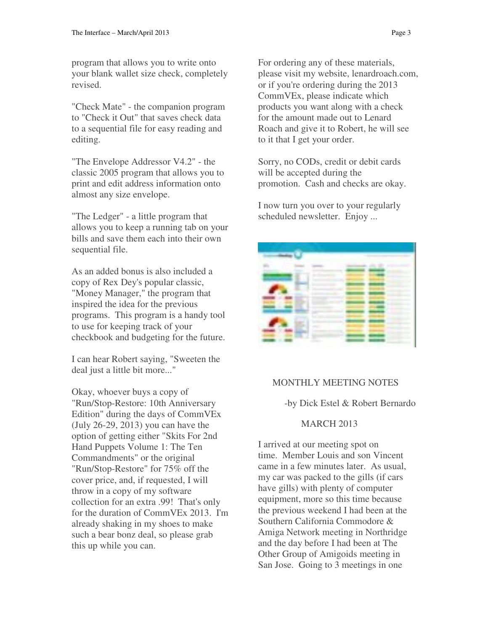program that allows you to write onto your blank wallet size check, completely revised.

"Check Mate" - the companion program to "Check it Out" that saves check data to a sequential file for easy reading and editing.

"The Envelope Addressor V4.2" - the classic 2005 program that allows you to print and edit address information onto almost any size envelope.

"The Ledger" - a little program that allows you to keep a running tab on your bills and save them each into their own sequential file.

As an added bonus is also included a copy of Rex Dey's popular classic, "Money Manager," the program that inspired the idea for the previous programs. This program is a handy tool to use for keeping track of your checkbook and budgeting for the future.

I can hear Robert saying, "Sweeten the deal just a little bit more..."

Okay, whoever buys a copy of "Run/Stop-Restore: 10th Anniversary Edition" during the days of CommVEx (July 26-29, 2013) you can have the option of getting either "Skits For 2nd Hand Puppets Volume 1: The Ten Commandments" or the original "Run/Stop-Restore" for 75% off the cover price, and, if requested, I will throw in a copy of my software collection for an extra .99! That's only for the duration of CommVEx 2013. I'm already shaking in my shoes to make such a bear bonz deal, so please grab this up while you can.

For ordering any of these materials, please visit my website, lenardroach.com, or if you're ordering during the 2013 CommVEx, please indicate which products you want along with a check for the amount made out to Lenard Roach and give it to Robert, he will see to it that I get your order.

Sorry, no CODs, credit or debit cards will be accepted during the promotion. Cash and checks are okay.

I now turn you over to your regularly scheduled newsletter. Enjoy ...



# MONTHLY MEETING NOTES

-by Dick Estel & Robert Bernardo

### MARCH 2013

I arrived at our meeting spot on time. Member Louis and son Vincent came in a few minutes later. As usual, my car was packed to the gills (if cars have gills) with plenty of computer equipment, more so this time because the previous weekend I had been at the Southern California Commodore & Amiga Network meeting in Northridge and the day before I had been at The Other Group of Amigoids meeting in San Jose. Going to 3 meetings in one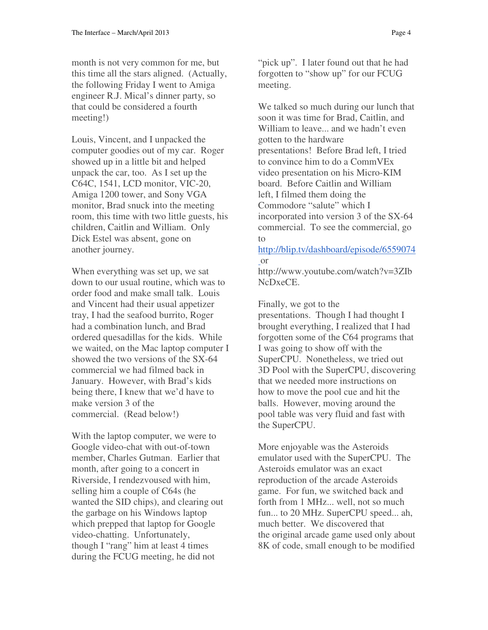month is not very common for me, but this time all the stars aligned. (Actually, the following Friday I went to Amiga engineer R.J. Mical's dinner party, so that could be considered a fourth meeting!)

Louis, Vincent, and I unpacked the computer goodies out of my car. Roger showed up in a little bit and helped unpack the car, too. As I set up the C64C, 1541, LCD monitor, VIC-20, Amiga 1200 tower, and Sony VGA monitor, Brad snuck into the meeting room, this time with two little guests, his children, Caitlin and William. Only Dick Estel was absent, gone on another journey.

When everything was set up, we sat down to our usual routine, which was to order food and make small talk. Louis and Vincent had their usual appetizer tray, I had the seafood burrito, Roger had a combination lunch, and Brad ordered quesadillas for the kids. While we waited, on the Mac laptop computer I showed the two versions of the SX-64 commercial we had filmed back in January. However, with Brad's kids being there, I knew that we'd have to make version 3 of the commercial. (Read below!)

With the laptop computer, we were to Google video-chat with out-of-town member, Charles Gutman. Earlier that month, after going to a concert in Riverside, I rendezvoused with him, selling him a couple of C64s (he wanted the SID chips), and clearing out the garbage on his Windows laptop which prepped that laptop for Google video-chatting. Unfortunately, though I "rang" him at least 4 times during the FCUG meeting, he did not

"pick up". I later found out that he had forgotten to "show up" for our FCUG meeting.

We talked so much during our lunch that soon it was time for Brad, Caitlin, and William to leave... and we hadn't even gotten to the hardware presentations! Before Brad left, I tried to convince him to do a CommVEx video presentation on his Micro-KIM board. Before Caitlin and William left, I filmed them doing the Commodore "salute" which I incorporated into version 3 of the SX-64 commercial. To see the commercial, go to

# http://blip.tv/dashboard/episode/6559074 or

http://www.youtube.com/watch?v=3ZIb NcDxeCE.

### Finally, we got to the

presentations. Though I had thought I brought everything, I realized that I had forgotten some of the C64 programs that I was going to show off with the SuperCPU. Nonetheless, we tried out 3D Pool with the SuperCPU, discovering that we needed more instructions on how to move the pool cue and hit the balls. However, moving around the pool table was very fluid and fast with the SuperCPU.

More enjoyable was the Asteroids emulator used with the SuperCPU. The Asteroids emulator was an exact reproduction of the arcade Asteroids game. For fun, we switched back and forth from 1 MHz... well, not so much fun... to 20 MHz. SuperCPU speed... ah, much better. We discovered that the original arcade game used only about 8K of code, small enough to be modified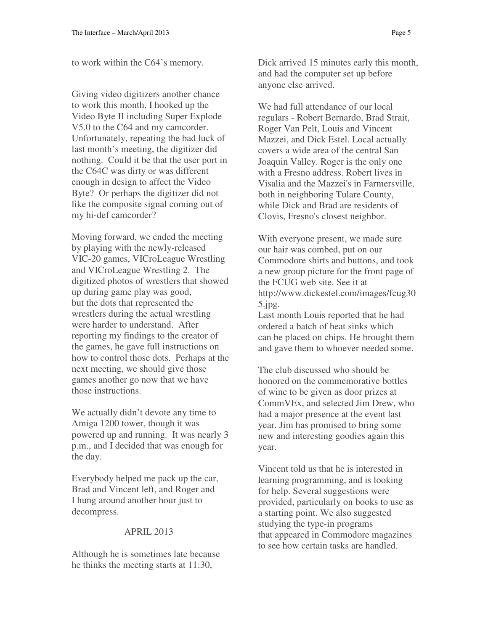to work within the C64's memory.

Giving video digitizers another chance to work this month, I hooked up the Video Byte II including Super Explode V5.0 to the C64 and my camcorder. Unfortunately, repeating the bad luck of last month's meeting, the digitizer did nothing. Could it be that the user port in the C64C was dirty or was different enough in design to affect the Video Byte? Or perhaps the digitizer did not like the composite signal coming out of my hi-def camcorder?

Moving forward, we ended the meeting by playing with the newly-released VIC-20 games, VICroLeague Wrestling and VICroLeague Wrestling 2. The digitized photos of wrestlers that showed up during game play was good, but the dots that represented the wrestlers during the actual wrestling were harder to understand. After reporting my findings to the creator of the games, he gave full instructions on how to control those dots. Perhaps at the next meeting, we should give those games another go now that we have those instructions.

We actually didn't devote any time to Amiga 1200 tower, though it was powered up and running. It was nearly 3 p.m., and I decided that was enough for the day.

Everybody helped me pack up the car, Brad and Vincent left, and Roger and I hung around another hour just to decompress.

### APRIL 2013

Although he is sometimes late because he thinks the meeting starts at 11:30,

Dick arrived 15 minutes early this month, and had the computer set up before anyone else arrived.

We had full attendance of our local regulars - Robert Bernardo, Brad Strait, Roger Van Pelt, Louis and Vincent Mazzei, and Dick Estel. Local actually covers a wide area of the central San Joaquin Valley. Roger is the only one with a Fresno address. Robert lives in Visalia and the Mazzei's in Farmersville, both in neighboring Tulare County, while Dick and Brad are residents of Clovis, Fresno's closest neighbor.

With everyone present, we made sure our hair was combed, put on our Commodore shirts and buttons, and took a new group picture for the front page of the FCUG web site. See it at http://www.dickestel.com/images/fcug30 5.jpg.

Last month Louis reported that he had ordered a batch of heat sinks which can be placed on chips. He brought them and gave them to whoever needed some.

The club discussed who should be honored on the commemorative bottles of wine to be given as door prizes at CommVEx, and selected Jim Drew, who had a major presence at the event last year. Jim has promised to bring some new and interesting goodies again this year.

Vincent told us that he is interested in learning programming, and is looking for help. Several suggestions were provided, particularly on books to use as a starting point. We also suggested studying the type-in programs that appeared in Commodore magazines to see how certain tasks are handled.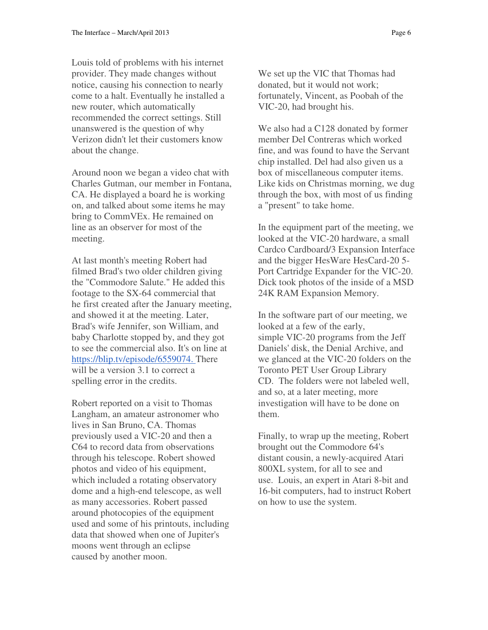Louis told of problems with his internet provider. They made changes without notice, causing his connection to nearly come to a halt. Eventually he installed a new router, which automatically recommended the correct settings. Still unanswered is the question of why Verizon didn't let their customers know about the change.

Around noon we began a video chat with Charles Gutman, our member in Fontana, CA. He displayed a board he is working on, and talked about some items he may bring to CommVEx. He remained on line as an observer for most of the meeting.

At last month's meeting Robert had filmed Brad's two older children giving the "Commodore Salute." He added this footage to the SX-64 commercial that he first created after the January meeting, and showed it at the meeting. Later, Brad's wife Jennifer, son William, and baby Charlotte stopped by, and they got to see the commercial also. It's on line at https://blip.tv/episode/6559074. There will be a version 3.1 to correct a spelling error in the credits.

Robert reported on a visit to Thomas Langham, an amateur astronomer who lives in San Bruno, CA. Thomas previously used a VIC-20 and then a C64 to record data from observations through his telescope. Robert showed photos and video of his equipment, which included a rotating observatory dome and a high-end telescope, as well as many accessories. Robert passed around photocopies of the equipment used and some of his printouts, including data that showed when one of Jupiter's moons went through an eclipse caused by another moon.

We set up the VIC that Thomas had donated, but it would not work; fortunately, Vincent, as Poobah of the VIC-20, had brought his.

We also had a C128 donated by former member Del Contreras which worked fine, and was found to have the Servant chip installed. Del had also given us a box of miscellaneous computer items. Like kids on Christmas morning, we dug through the box, with most of us finding a "present" to take home.

In the equipment part of the meeting, we looked at the VIC-20 hardware, a small Cardco Cardboard/3 Expansion Interface and the bigger HesWare HesCard-20 5- Port Cartridge Expander for the VIC-20. Dick took photos of the inside of a MSD 24K RAM Expansion Memory.

In the software part of our meeting, we looked at a few of the early, simple VIC-20 programs from the Jeff Daniels' disk, the Denial Archive, and we glanced at the VIC-20 folders on the Toronto PET User Group Library CD. The folders were not labeled well, and so, at a later meeting, more investigation will have to be done on them.

Finally, to wrap up the meeting, Robert brought out the Commodore 64's distant cousin, a newly-acquired Atari 800XL system, for all to see and use. Louis, an expert in Atari 8-bit and 16-bit computers, had to instruct Robert on how to use the system.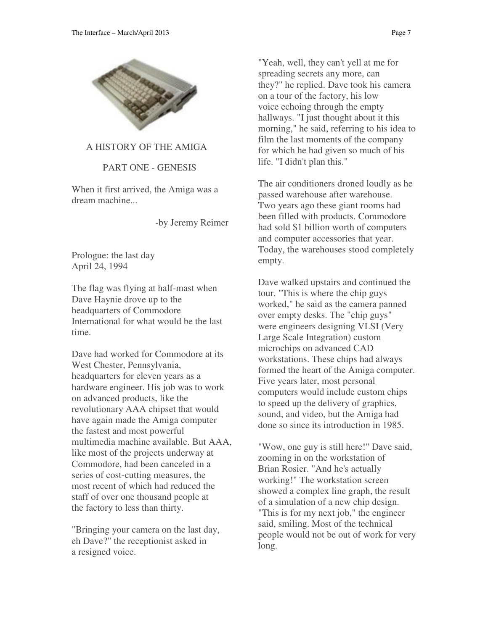

# they?" he replied. Dave took his camera on a tour of the factory, his low voice echoing through the empty hallways. "I just thought about it this morning," he said, referring to his idea to film the last moments of the company for which he had given so much of his life. "I didn't plan this."

The air conditioners droned loudly as he passed warehouse after warehouse. Two years ago these giant rooms had been filled with products. Commodore had sold \$1 billion worth of computers and computer accessories that year. Today, the warehouses stood completely empty.

"Yeah, well, they can't yell at me for spreading secrets any more, can

Dave walked upstairs and continued the tour. "This is where the chip guys worked," he said as the camera panned over empty desks. The "chip guys" were engineers designing VLSI (Very Large Scale Integration) custom microchips on advanced CAD workstations. These chips had always formed the heart of the Amiga computer. Five years later, most personal computers would include custom chips to speed up the delivery of graphics, sound, and video, but the Amiga had done so since its introduction in 1985.

"Wow, one guy is still here!" Dave said, zooming in on the workstation of Brian Rosier. "And he's actually working!" The workstation screen showed a complex line graph, the result of a simulation of a new chip design. "This is for my next job," the engineer said, smiling. Most of the technical people would not be out of work for very long.

### A HISTORY OF THE AMIGA

### PART ONE - GENESIS

When it first arrived, the Amiga was a dream machine...

-by Jeremy Reimer

Prologue: the last day April 24, 1994

The flag was flying at half-mast when Dave Haynie drove up to the headquarters of Commodore International for what would be the last time.

Dave had worked for Commodore at its West Chester, Pennsylvania, headquarters for eleven years as a hardware engineer. His job was to work on advanced products, like the revolutionary AAA chipset that would have again made the Amiga computer the fastest and most powerful multimedia machine available. But AAA, like most of the projects underway at Commodore, had been canceled in a series of cost-cutting measures, the most recent of which had reduced the staff of over one thousand people at the factory to less than thirty.

"Bringing your camera on the last day, eh Dave?" the receptionist asked in a resigned voice.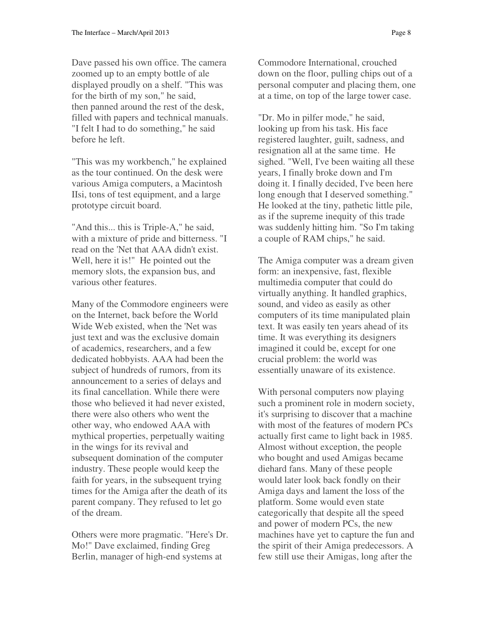Dave passed his own office. The camera zoomed up to an empty bottle of ale displayed proudly on a shelf. "This was for the birth of my son," he said, then panned around the rest of the desk, filled with papers and technical manuals. "I felt I had to do something," he said before he left.

"This was my workbench," he explained as the tour continued. On the desk were various Amiga computers, a Macintosh IIsi, tons of test equipment, and a large prototype circuit board.

"And this... this is Triple-A," he said, with a mixture of pride and bitterness. "I read on the 'Net that AAA didn't exist. Well, here it is!" He pointed out the memory slots, the expansion bus, and various other features.

Many of the Commodore engineers were on the Internet, back before the World Wide Web existed, when the 'Net was just text and was the exclusive domain of academics, researchers, and a few dedicated hobbyists. AAA had been the subject of hundreds of rumors, from its announcement to a series of delays and its final cancellation. While there were those who believed it had never existed, there were also others who went the other way, who endowed AAA with mythical properties, perpetually waiting in the wings for its revival and subsequent domination of the computer industry. These people would keep the faith for years, in the subsequent trying times for the Amiga after the death of its parent company. They refused to let go of the dream.

Others were more pragmatic. "Here's Dr. Mo!" Dave exclaimed, finding Greg Berlin, manager of high-end systems at

Commodore International, crouched down on the floor, pulling chips out of a personal computer and placing them, one at a time, on top of the large tower case.

"Dr. Mo in pilfer mode," he said, looking up from his task. His face registered laughter, guilt, sadness, and resignation all at the same time. He sighed. "Well, I've been waiting all these years, I finally broke down and I'm doing it. I finally decided, I've been here long enough that I deserved something." He looked at the tiny, pathetic little pile, as if the supreme inequity of this trade was suddenly hitting him. "So I'm taking a couple of RAM chips," he said.

The Amiga computer was a dream given form: an inexpensive, fast, flexible multimedia computer that could do virtually anything. It handled graphics, sound, and video as easily as other computers of its time manipulated plain text. It was easily ten years ahead of its time. It was everything its designers imagined it could be, except for one crucial problem: the world was essentially unaware of its existence.

With personal computers now playing such a prominent role in modern society, it's surprising to discover that a machine with most of the features of modern PCs actually first came to light back in 1985. Almost without exception, the people who bought and used Amigas became diehard fans. Many of these people would later look back fondly on their Amiga days and lament the loss of the platform. Some would even state categorically that despite all the speed and power of modern PCs, the new machines have yet to capture the fun and the spirit of their Amiga predecessors. A few still use their Amigas, long after the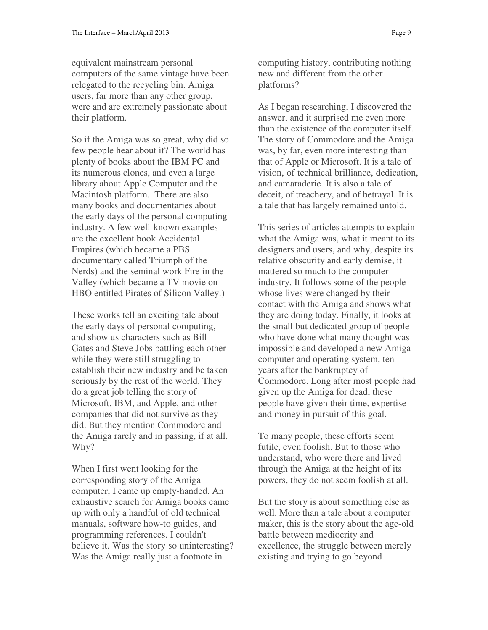equivalent mainstream personal computers of the same vintage have been relegated to the recycling bin. Amiga users, far more than any other group, were and are extremely passionate about their platform.

So if the Amiga was so great, why did so few people hear about it? The world has plenty of books about the IBM PC and its numerous clones, and even a large library about Apple Computer and the Macintosh platform. There are also many books and documentaries about the early days of the personal computing industry. A few well-known examples are the excellent book Accidental Empires (which became a PBS documentary called Triumph of the Nerds) and the seminal work Fire in the Valley (which became a TV movie on HBO entitled Pirates of Silicon Valley.)

These works tell an exciting tale about the early days of personal computing, and show us characters such as Bill Gates and Steve Jobs battling each other while they were still struggling to establish their new industry and be taken seriously by the rest of the world. They do a great job telling the story of Microsoft, IBM, and Apple, and other companies that did not survive as they did. But they mention Commodore and the Amiga rarely and in passing, if at all. Why?

When I first went looking for the corresponding story of the Amiga computer, I came up empty-handed. An exhaustive search for Amiga books came up with only a handful of old technical manuals, software how-to guides, and programming references. I couldn't believe it. Was the story so uninteresting? Was the Amiga really just a footnote in

computing history, contributing nothing new and different from the other platforms?

As I began researching, I discovered the answer, and it surprised me even more than the existence of the computer itself. The story of Commodore and the Amiga was, by far, even more interesting than that of Apple or Microsoft. It is a tale of vision, of technical brilliance, dedication, and camaraderie. It is also a tale of deceit, of treachery, and of betrayal. It is a tale that has largely remained untold.

This series of articles attempts to explain what the Amiga was, what it meant to its designers and users, and why, despite its relative obscurity and early demise, it mattered so much to the computer industry. It follows some of the people whose lives were changed by their contact with the Amiga and shows what they are doing today. Finally, it looks at the small but dedicated group of people who have done what many thought was impossible and developed a new Amiga computer and operating system, ten years after the bankruptcy of Commodore. Long after most people had given up the Amiga for dead, these people have given their time, expertise and money in pursuit of this goal.

To many people, these efforts seem futile, even foolish. But to those who understand, who were there and lived through the Amiga at the height of its powers, they do not seem foolish at all.

But the story is about something else as well. More than a tale about a computer maker, this is the story about the age-old battle between mediocrity and excellence, the struggle between merely existing and trying to go beyond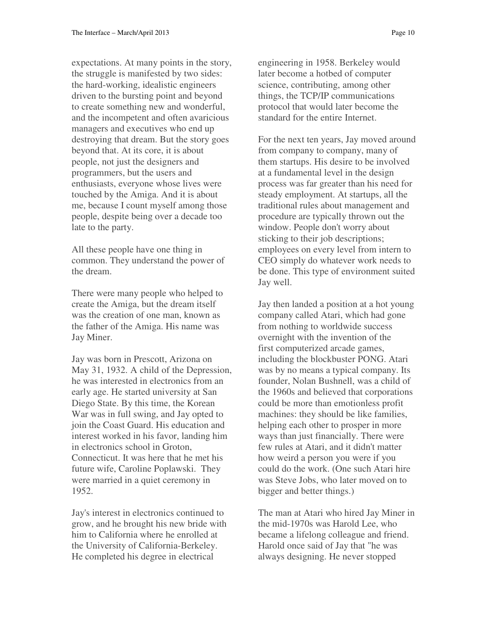expectations. At many points in the story, the struggle is manifested by two sides: the hard-working, idealistic engineers driven to the bursting point and beyond to create something new and wonderful, and the incompetent and often avaricious managers and executives who end up destroying that dream. But the story goes beyond that. At its core, it is about people, not just the designers and programmers, but the users and enthusiasts, everyone whose lives were touched by the Amiga. And it is about me, because I count myself among those people, despite being over a decade too late to the party.

All these people have one thing in common. They understand the power of the dream.

There were many people who helped to create the Amiga, but the dream itself was the creation of one man, known as the father of the Amiga. His name was Jay Miner.

Jay was born in Prescott, Arizona on May 31, 1932. A child of the Depression, he was interested in electronics from an early age. He started university at San Diego State. By this time, the Korean War was in full swing, and Jay opted to join the Coast Guard. His education and interest worked in his favor, landing him in electronics school in Groton, Connecticut. It was here that he met his future wife, Caroline Poplawski. They were married in a quiet ceremony in 1952.

Jay's interest in electronics continued to grow, and he brought his new bride with him to California where he enrolled at the University of California-Berkeley. He completed his degree in electrical

engineering in 1958. Berkeley would later become a hotbed of computer science, contributing, among other things, the TCP/IP communications protocol that would later become the standard for the entire Internet.

For the next ten years, Jay moved around from company to company, many of them startups. His desire to be involved at a fundamental level in the design process was far greater than his need for steady employment. At startups, all the traditional rules about management and procedure are typically thrown out the window. People don't worry about sticking to their job descriptions; employees on every level from intern to CEO simply do whatever work needs to be done. This type of environment suited Jay well.

Jay then landed a position at a hot young company called Atari, which had gone from nothing to worldwide success overnight with the invention of the first computerized arcade games, including the blockbuster PONG. Atari was by no means a typical company. Its founder, Nolan Bushnell, was a child of the 1960s and believed that corporations could be more than emotionless profit machines: they should be like families, helping each other to prosper in more ways than just financially. There were few rules at Atari, and it didn't matter how weird a person you were if you could do the work. (One such Atari hire was Steve Jobs, who later moved on to bigger and better things.)

The man at Atari who hired Jay Miner in the mid-1970s was Harold Lee, who became a lifelong colleague and friend. Harold once said of Jay that "he was always designing. He never stopped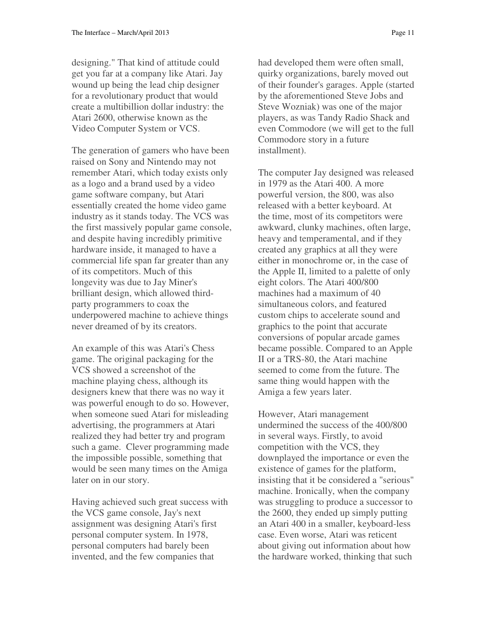designing." That kind of attitude could get you far at a company like Atari. Jay wound up being the lead chip designer for a revolutionary product that would create a multibillion dollar industry: the Atari 2600, otherwise known as the Video Computer System or VCS.

The generation of gamers who have been raised on Sony and Nintendo may not remember Atari, which today exists only as a logo and a brand used by a video game software company, but Atari essentially created the home video game industry as it stands today. The VCS was the first massively popular game console, and despite having incredibly primitive hardware inside, it managed to have a commercial life span far greater than any of its competitors. Much of this longevity was due to Jay Miner's brilliant design, which allowed thirdparty programmers to coax the underpowered machine to achieve things never dreamed of by its creators.

An example of this was Atari's Chess game. The original packaging for the VCS showed a screenshot of the machine playing chess, although its designers knew that there was no way it was powerful enough to do so. However, when someone sued Atari for misleading advertising, the programmers at Atari realized they had better try and program such a game. Clever programming made the impossible possible, something that would be seen many times on the Amiga later on in our story.

Having achieved such great success with the VCS game console, Jay's next assignment was designing Atari's first personal computer system. In 1978, personal computers had barely been invented, and the few companies that

had developed them were often small, quirky organizations, barely moved out of their founder's garages. Apple (started by the aforementioned Steve Jobs and Steve Wozniak) was one of the major players, as was Tandy Radio Shack and even Commodore (we will get to the full Commodore story in a future installment).

The computer Jay designed was released in 1979 as the Atari 400. A more powerful version, the 800, was also released with a better keyboard. At the time, most of its competitors were awkward, clunky machines, often large, heavy and temperamental, and if they created any graphics at all they were either in monochrome or, in the case of the Apple II, limited to a palette of only eight colors. The Atari 400/800 machines had a maximum of 40 simultaneous colors, and featured custom chips to accelerate sound and graphics to the point that accurate conversions of popular arcade games became possible. Compared to an Apple II or a TRS-80, the Atari machine seemed to come from the future. The same thing would happen with the Amiga a few years later.

However, Atari management undermined the success of the 400/800 in several ways. Firstly, to avoid competition with the VCS, they downplayed the importance or even the existence of games for the platform, insisting that it be considered a "serious" machine. Ironically, when the company was struggling to produce a successor to the 2600, they ended up simply putting an Atari 400 in a smaller, keyboard-less case. Even worse, Atari was reticent about giving out information about how the hardware worked, thinking that such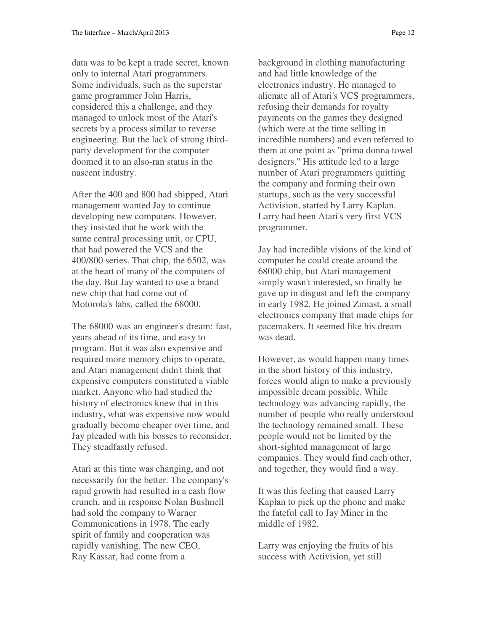data was to be kept a trade secret, known only to internal Atari programmers. Some individuals, such as the superstar game programmer John Harris, considered this a challenge, and they managed to unlock most of the Atari's secrets by a process similar to reverse engineering. But the lack of strong thirdparty development for the computer doomed it to an also-ran status in the nascent industry.

After the 400 and 800 had shipped, Atari management wanted Jay to continue developing new computers. However, they insisted that he work with the same central processing unit, or CPU, that had powered the VCS and the 400/800 series. That chip, the 6502, was at the heart of many of the computers of the day. But Jay wanted to use a brand new chip that had come out of Motorola's labs, called the 68000.

The 68000 was an engineer's dream: fast, years ahead of its time, and easy to program. But it was also expensive and required more memory chips to operate, and Atari management didn't think that expensive computers constituted a viable market. Anyone who had studied the history of electronics knew that in this industry, what was expensive now would gradually become cheaper over time, and Jay pleaded with his bosses to reconsider. They steadfastly refused.

Atari at this time was changing, and not necessarily for the better. The company's rapid growth had resulted in a cash flow crunch, and in response Nolan Bushnell had sold the company to Warner Communications in 1978. The early spirit of family and cooperation was rapidly vanishing. The new CEO, Ray Kassar, had come from a

background in clothing manufacturing and had little knowledge of the electronics industry. He managed to alienate all of Atari's VCS programmers, refusing their demands for royalty payments on the games they designed (which were at the time selling in incredible numbers) and even referred to them at one point as "prima donna towel designers." His attitude led to a large number of Atari programmers quitting the company and forming their own startups, such as the very successful Activision, started by Larry Kaplan. Larry had been Atari's very first VCS programmer.

Jay had incredible visions of the kind of computer he could create around the 68000 chip, but Atari management simply wasn't interested, so finally he gave up in disgust and left the company in early 1982. He joined Zimast, a small electronics company that made chips for pacemakers. It seemed like his dream was dead.

However, as would happen many times in the short history of this industry, forces would align to make a previously impossible dream possible. While technology was advancing rapidly, the number of people who really understood the technology remained small. These people would not be limited by the short-sighted management of large companies. They would find each other, and together, they would find a way.

It was this feeling that caused Larry Kaplan to pick up the phone and make the fateful call to Jay Miner in the middle of 1982.

Larry was enjoying the fruits of his success with Activision, yet still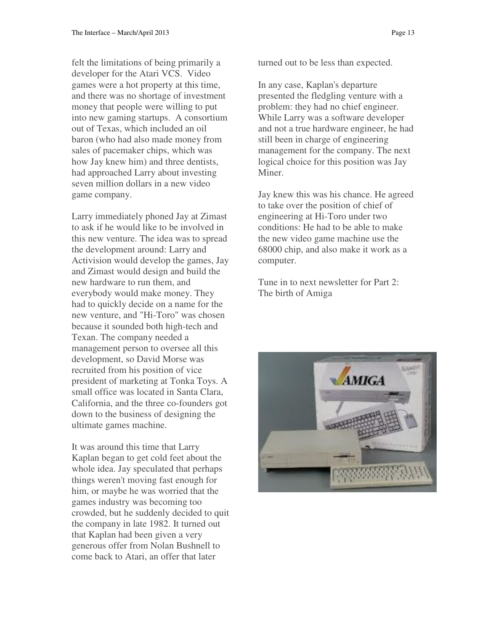felt the limitations of being primarily a developer for the Atari VCS. Video games were a hot property at this time, and there was no shortage of investment money that people were willing to put into new gaming startups. A consortium out of Texas, which included an oil baron (who had also made money from sales of pacemaker chips, which was how Jay knew him) and three dentists, had approached Larry about investing seven million dollars in a new video game company.

Larry immediately phoned Jay at Zimast to ask if he would like to be involved in this new venture. The idea was to spread the development around: Larry and Activision would develop the games, Jay and Zimast would design and build the new hardware to run them, and everybody would make money. They had to quickly decide on a name for the new venture, and "Hi-Toro" was chosen because it sounded both high-tech and Texan. The company needed a management person to oversee all this development, so David Morse was recruited from his position of vice president of marketing at Tonka Toys. A small office was located in Santa Clara, California, and the three co-founders got down to the business of designing the ultimate games machine.

It was around this time that Larry Kaplan began to get cold feet about the whole idea. Jay speculated that perhaps things weren't moving fast enough for him, or maybe he was worried that the games industry was becoming too crowded, but he suddenly decided to quit the company in late 1982. It turned out that Kaplan had been given a very generous offer from Nolan Bushnell to come back to Atari, an offer that later

turned out to be less than expected.

In any case, Kaplan's departure presented the fledgling venture with a problem: they had no chief engineer. While Larry was a software developer and not a true hardware engineer, he had still been in charge of engineering management for the company. The next logical choice for this position was Jay Miner.

Jay knew this was his chance. He agreed to take over the position of chief of engineering at Hi-Toro under two conditions: He had to be able to make the new video game machine use the 68000 chip, and also make it work as a computer.

Tune in to next newsletter for Part 2: The birth of Amiga